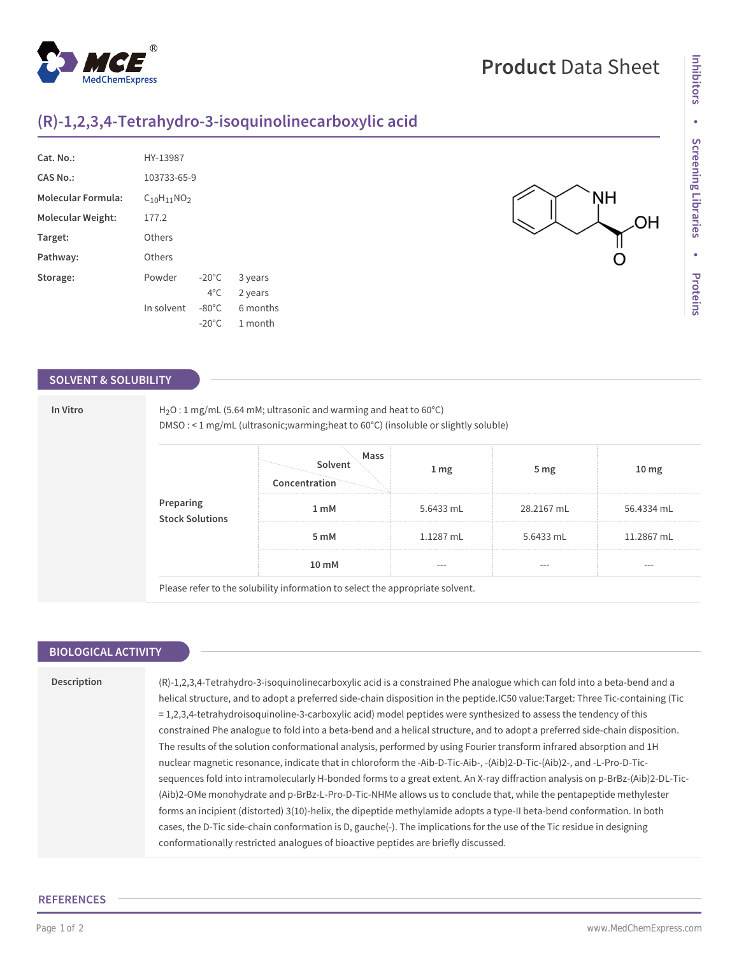# **Product** Data Sheet

NΗ

ΟH

# **(R)-1,2,3,4-Tetrahydro-3-isoquinolinecarboxylic acid**

| Cat. No.:                 | HY-13987          |                 |          |  |  |
|---------------------------|-------------------|-----------------|----------|--|--|
| CAS No.:                  | 103733-65-9       |                 |          |  |  |
| <b>Molecular Formula:</b> | $C_{10}H_{11}NO2$ |                 |          |  |  |
| Molecular Weight:         | 177.2             |                 |          |  |  |
| Target:                   | Others            |                 |          |  |  |
| Pathway:                  | Others            |                 |          |  |  |
| Storage:                  | Powder            | $-20^{\circ}$ C | 3 years  |  |  |
|                           |                   | $4^{\circ}$ C.  | 2 years  |  |  |
|                           | In solvent        | $-80^{\circ}$ C | 6 months |  |  |
|                           |                   | $-20^{\circ}$ C | 1 month  |  |  |
|                           |                   |                 |          |  |  |

## **SOLVENT & SOLUBILITY**

| Preparing<br><b>Stock Solutions</b> | DMSO: < 1 mg/mL (ultrasonic; warming; heat to 60°C) (insoluble or slightly soluble) |                                  |            |                   |                  |  |  |
|-------------------------------------|-------------------------------------------------------------------------------------|----------------------------------|------------|-------------------|------------------|--|--|
|                                     |                                                                                     | Mass<br>Solvent<br>Concentration | 1 mg       | 5 <sub>mg</sub>   | 10 <sub>mg</sub> |  |  |
|                                     | 1 mM                                                                                | 5.6433 $mL$                      | 28.2167 mL | 56.4334 mL        |                  |  |  |
|                                     |                                                                                     | 5 mM                             | 1.1287 mL  | 5.6433 mL         | 11.2867 mL       |  |  |
|                                     |                                                                                     | 10 mM                            | $---$      | $\qquad \qquad -$ | $- - -$          |  |  |

## **BIOLOGICAL ACTIVITY**

**Description** (R)-1,2,3,4-Tetrahydro-3-isoquinolinecarboxylic acid is a constrained Phe analogue which can fold into a beta-bend and a helical structure, and to adopt a preferred side-chain disposition in the peptide.IC50 value:Target: Three Tic-containing (Tic = 1,2,3,4-tetrahydroisoquinoline-3-carboxylic acid) model peptides were synthesized to assess the tendency of this constrained Phe analogue to fold into a beta-bend and a helical structure, and to adopt a preferred side-chain disposition. The results of the solution conformational analysis, performed by using Fourier transform infrared absorption and 1H nuclear magnetic resonance, indicate that in chloroform the -Aib-D-Tic-Aib-, -(Aib)2-D-Tic-(Aib)2-, and -L-Pro-D-Ticsequences fold into intramolecularly H-bonded forms to a great extent. An X-ray diffraction analysis on p-BrBz-(Aib)2-DL-Tic- (Aib)2-OMe monohydrate and p-BrBz-L-Pro-D-Tic-NHMe allows us to conclude that, while the pentapeptide methylester forms an incipient (distorted) 3(10)-helix, the dipeptide methylamide adopts a type-II beta-bend conformation. In both cases, the D-Tic side-chain conformation is D, gauche(-). The implications for the use of the Tic residue in designing conformationally restricted analogues of bioactive peptides are briefly discussed.

### **REFERENCES**